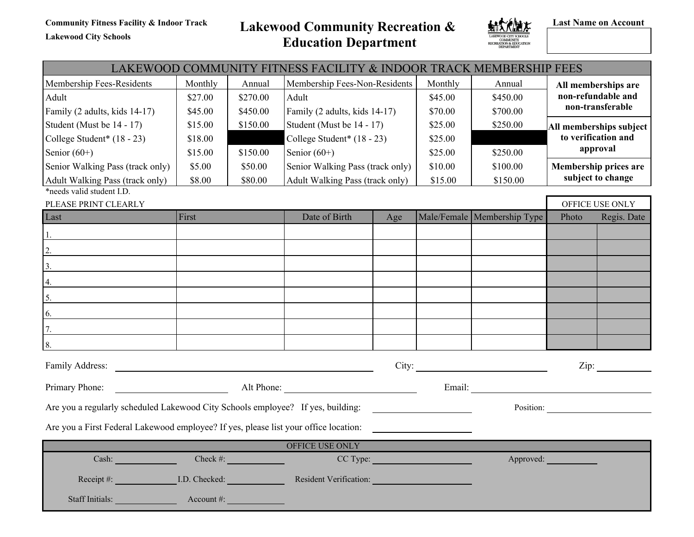**Lakewood City Schools**

**Community Fitness Facility & Indoor Track Lakewood Community Recreation & Education Department**



**Last Name on Account**

# LAKEWOOD COMMUNITY FITNESS FACILITY & INDOOR TRACK MEMBERSHIP FEES Membership Fees-Residents | Monthly | Annual | Membership Fees-Non-Residents | Monthly | Annual | **All memberships are non-refundable and non-transferable** Adult \$27.00) \$270.00) Adult \$45.00) \$450.00) Family (2 adults, kids 14-17)  $\begin{array}{|l|l|l|l|l|} \hline \text{545.00} & \text{545.00} & \text{Family (2 adults, kids 14-17)} & \text{570.00} & \text{5700.00}\ \hline \end{array}$ Student (Must be 14 - 17) \$15.00) \$150.00) Student (Must be 14 - 17) \$25.00) \$250.00) **All memberships subject to verification and approval**  College Student\* (18 - 23) \$18.00 College Student\* (18 - 23) \$25.00 Senior (60+) \$15.00) \$150.00) Senior (60+) \$25.00) \$250.00) Senior Walking Pass (track only)  $\begin{array}{|l} \$5.00\end{array}$  \$50.00 Senior Walking Pass (track only)  $\begin{array}{|l} \$10.00\end{array}$  \$100.00 **Membership prices are** Adult Walking Pass (track only) **\$8.00** \$80.00 Adult Walking Pass (track only) \$15.00 \$150.00 **\$150.00** \$150.00 \*needs valid student I.D. PLEASE PRINT CLEARLY OFFICE USE ONLY Last First First Best Date of Birth Age Male/Female Membership Type Photo Regis. Date 1. 2. 3. 4. 5. 6. 7. 8. Family Address: City: Zip: Primary Phone: Alt Phone: Alt Phone: Email: Are you a regularly scheduled Lakewood City Schools employee? If yes, building: Position: Position:

Are you a First Federal Lakewood employee? If yes, please list your office location:

|                        |               | OFFICE USE ONLY               |           |
|------------------------|---------------|-------------------------------|-----------|
| Cash:                  | Check #:      | CC Type:                      | Approved: |
| Receipt #:             | I.D. Checked: | <b>Resident Verification:</b> |           |
| <b>Staff Initials:</b> | Account $#$ : |                               |           |

<u> The Communication of the Communication</u>